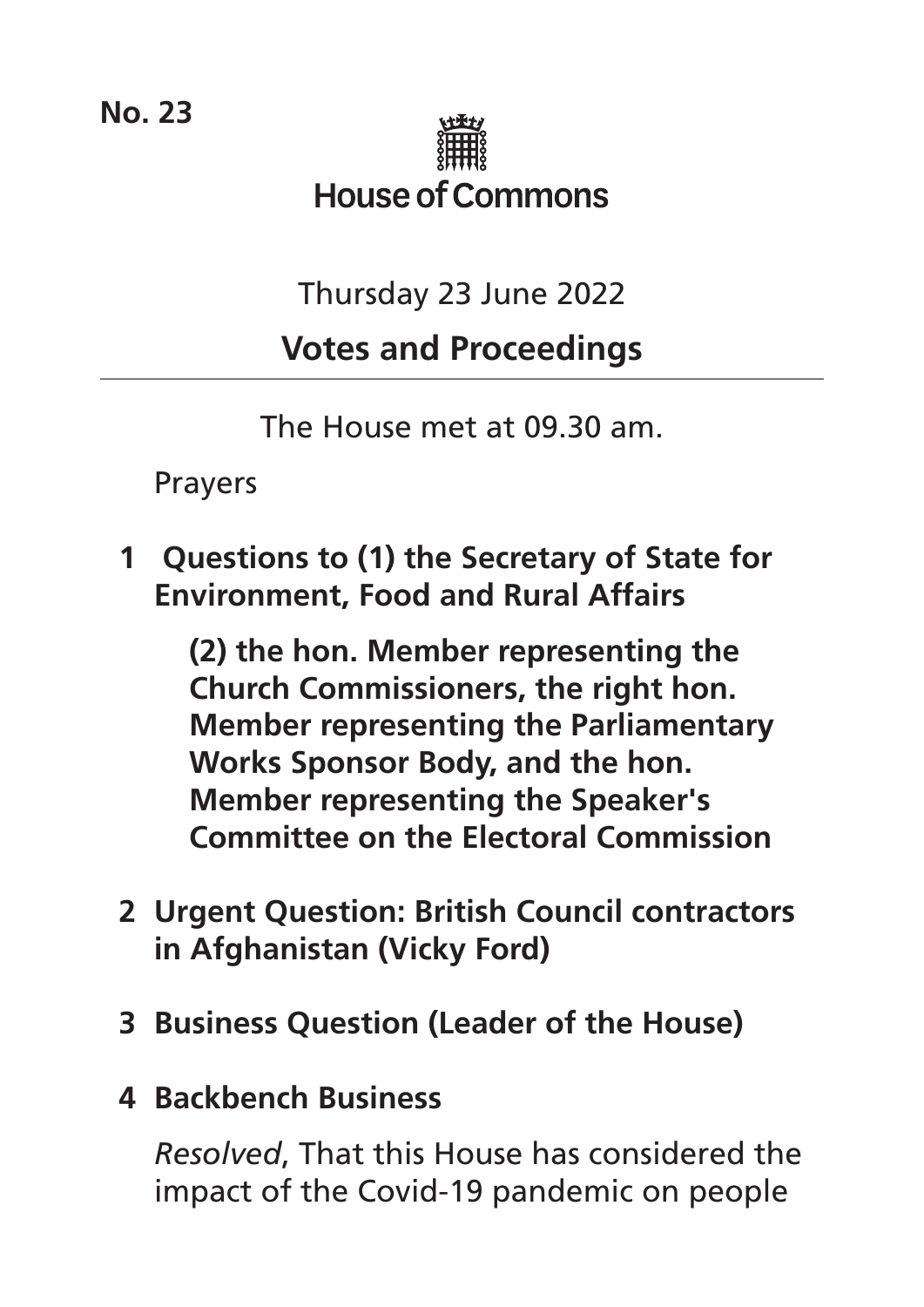**No. 23**



Thursday 23 June 2022

# **Votes and Proceedings**

The House met at 09.30 am.

Prayers

**1 Questions to (1) the Secretary of State for Environment, Food and Rural Affairs**

> **(2) the hon. Member representing the Church Commissioners, the right hon. Member representing the Parliamentary Works Sponsor Body, and the hon. Member representing the Speaker's Committee on the Electoral Commission**

- **2 Urgent Question: British Council contractors in Afghanistan (Vicky Ford)**
- **3 Business Question (Leader of the House)**

#### **4 Backbench Business**

*Resolved*, That this House has considered the impact of the Covid-19 pandemic on people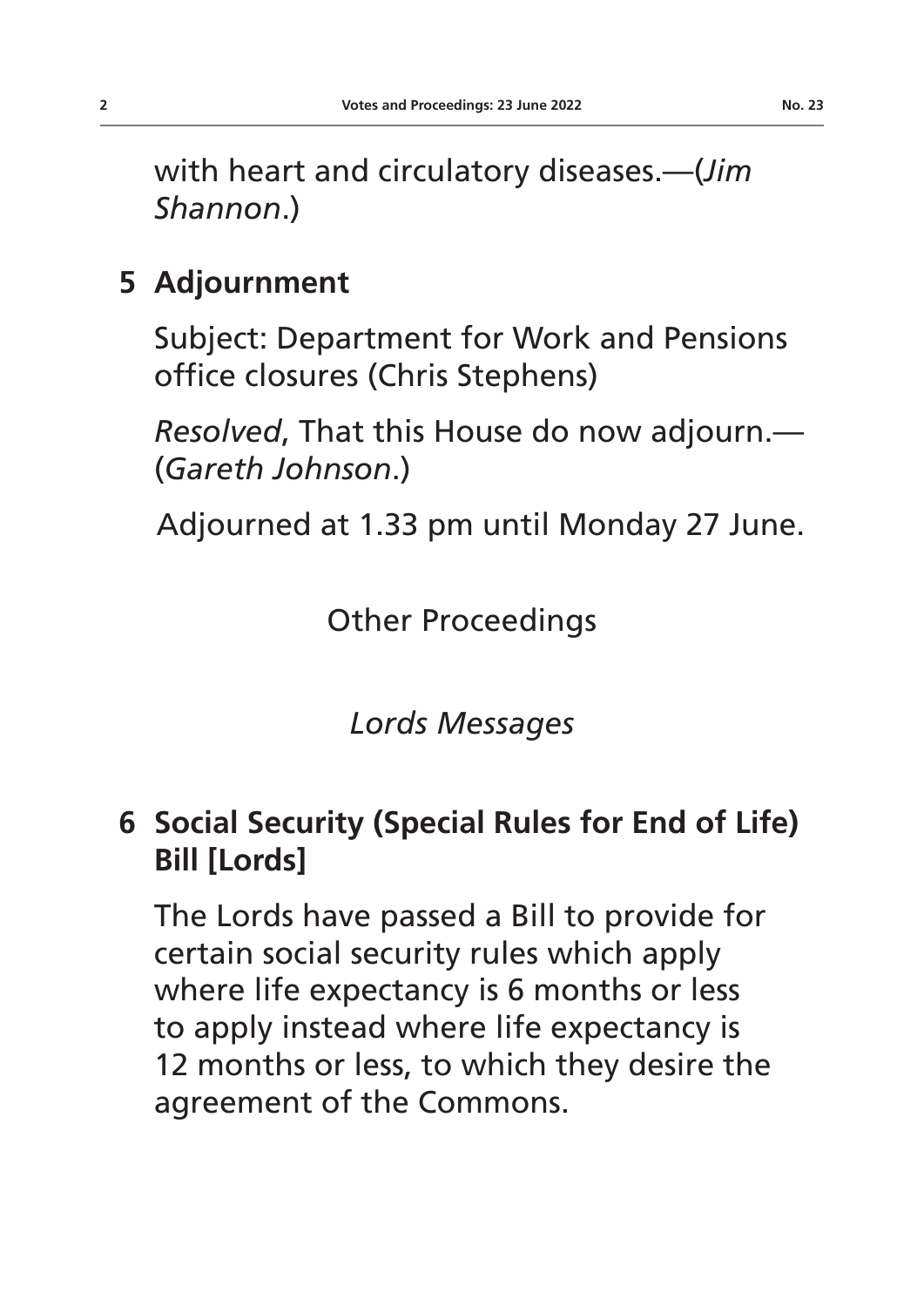with heart and circulatory diseases.—(*Jim Shannon*.)

# **5 Adjournment**

Subject: Department for Work and Pensions office closures (Chris Stephens)

*Resolved*, That this House do now adjourn.— (*Gareth Johnson*.)

Adjourned at 1.33 pm until Monday 27 June.

Other Proceedings

*Lords Messages*

## **6 Social Security (Special Rules for End of Life) Bill [Lords]**

The Lords have passed a Bill to provide for certain social security rules which apply where life expectancy is 6 months or less to apply instead where life expectancy is 12 months or less, to which they desire the agreement of the Commons.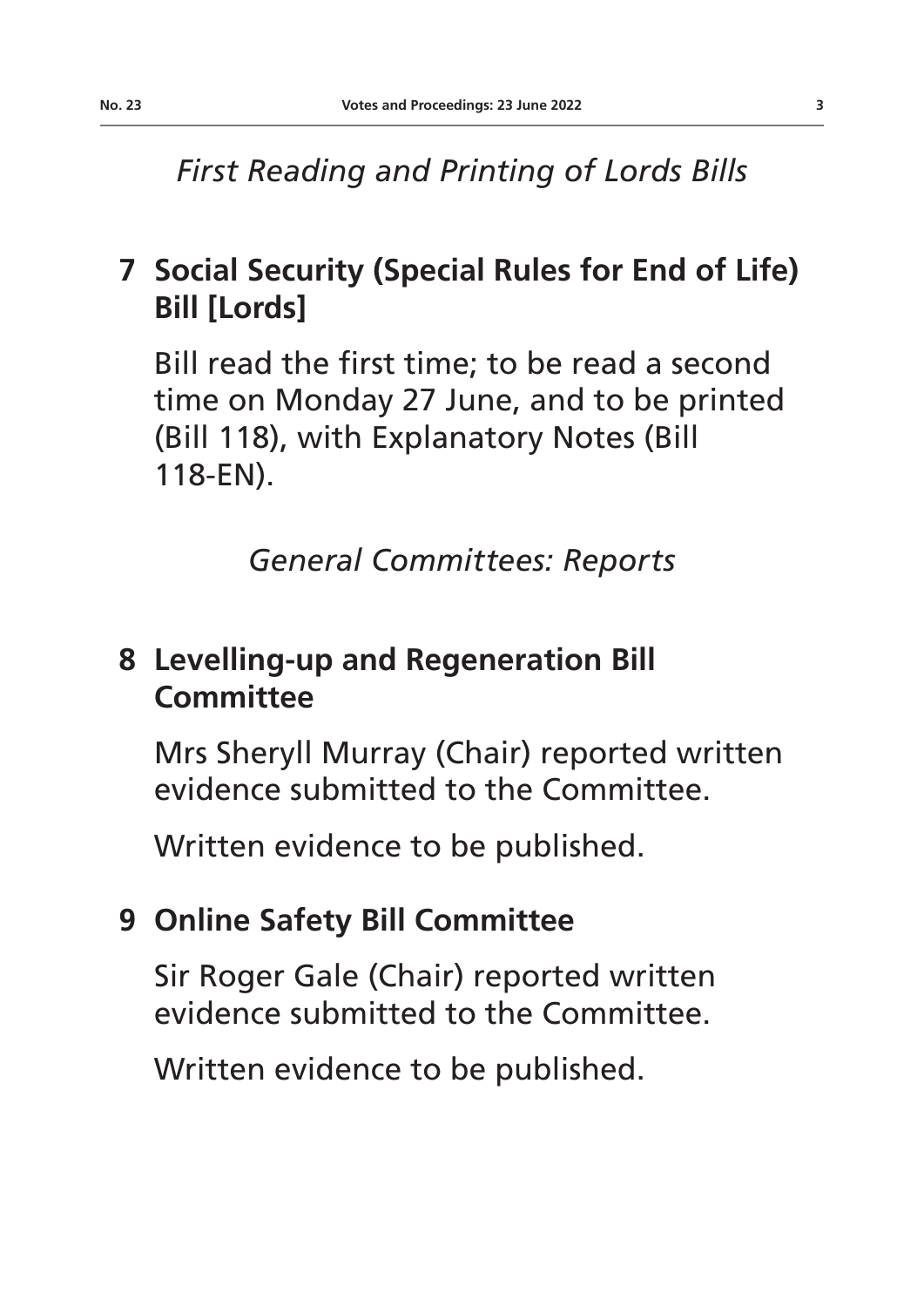# **7 Social Security (Special Rules for End of Life) Bill [Lords]**

Bill read the first time; to be read a second time on Monday 27 June, and to be printed (Bill 118), with Explanatory Notes (Bill 118-EN).

*General Committees: Reports*

# **8 Levelling-up and Regeneration Bill Committee**

Mrs Sheryll Murray (Chair) reported written evidence submitted to the Committee.

Written evidence to be published.

# **9 Online Safety Bill Committee**

Sir Roger Gale (Chair) reported written evidence submitted to the Committee.

Written evidence to be published.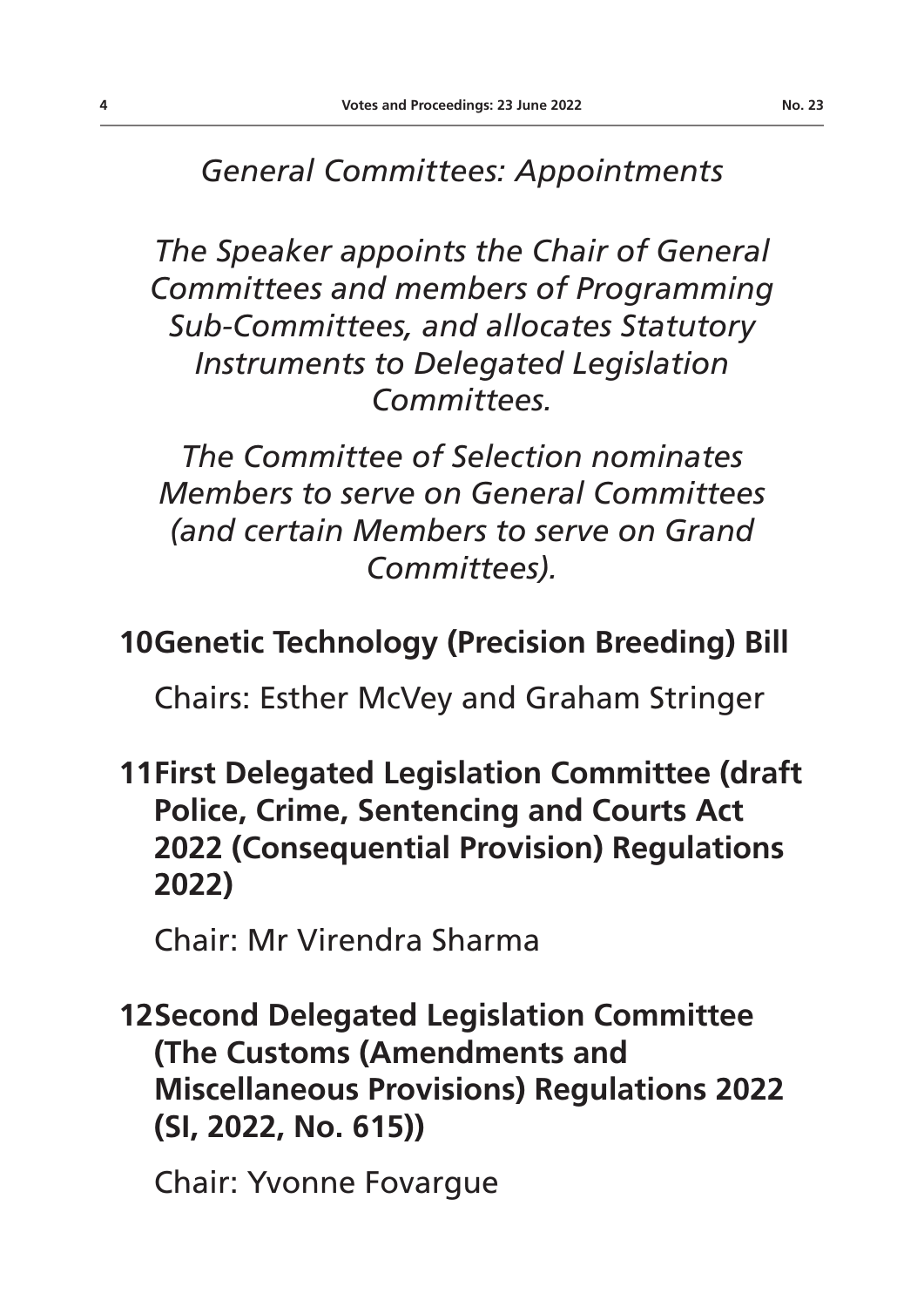*General Committees: Appointments*

*The Speaker appoints the Chair of General Committees and members of Programming Sub-Committees, and allocates Statutory Instruments to Delegated Legislation Committees.*

*The Committee of Selection nominates Members to serve on General Committees (and certain Members to serve on Grand Committees).*

#### **10Genetic Technology (Precision Breeding) Bill**

Chairs: Esther McVey and Graham Stringer

**11First Delegated Legislation Committee (draft Police, Crime, Sentencing and Courts Act 2022 (Consequential Provision) Regulations 2022)**

Chair: Mr Virendra Sharma

**12Second Delegated Legislation Committee (The Customs (Amendments and Miscellaneous Provisions) Regulations 2022 (SI, 2022, No. 615))**

Chair: Yvonne Fovargue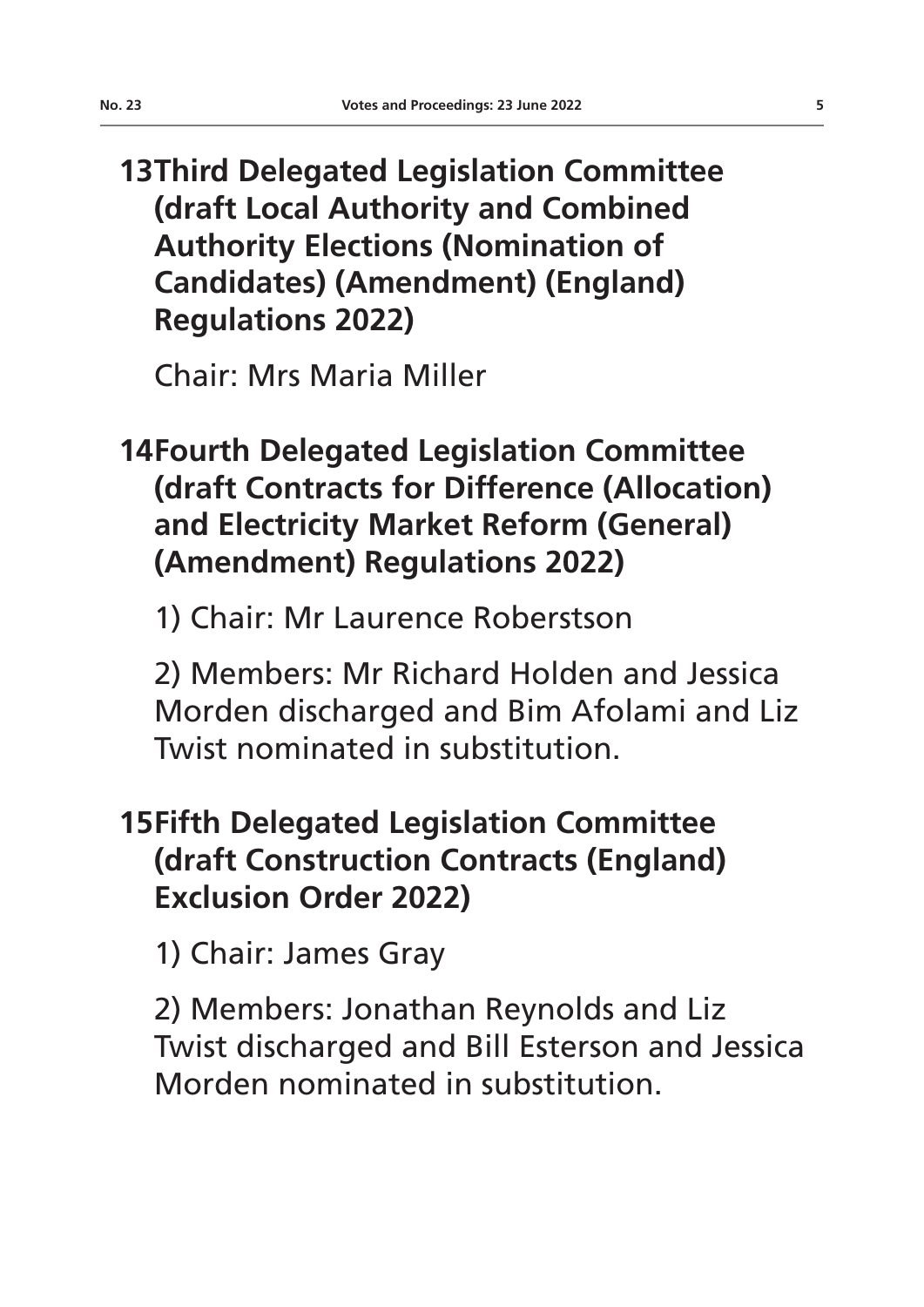**13Third Delegated Legislation Committee (draft Local Authority and Combined Authority Elections (Nomination of Candidates) (Amendment) (England) Regulations 2022)**

Chair: Mrs Maria Miller

**14Fourth Delegated Legislation Committee (draft Contracts for Difference (Allocation) and Electricity Market Reform (General) (Amendment) Regulations 2022)**

1) Chair: Mr Laurence Roberstson

2) Members: Mr Richard Holden and Jessica Morden discharged and Bim Afolami and Liz Twist nominated in substitution.

## **15Fifth Delegated Legislation Committee (draft Construction Contracts (England) Exclusion Order 2022)**

1) Chair: James Gray

2) Members: Jonathan Reynolds and Liz Twist discharged and Bill Esterson and Jessica Morden nominated in substitution.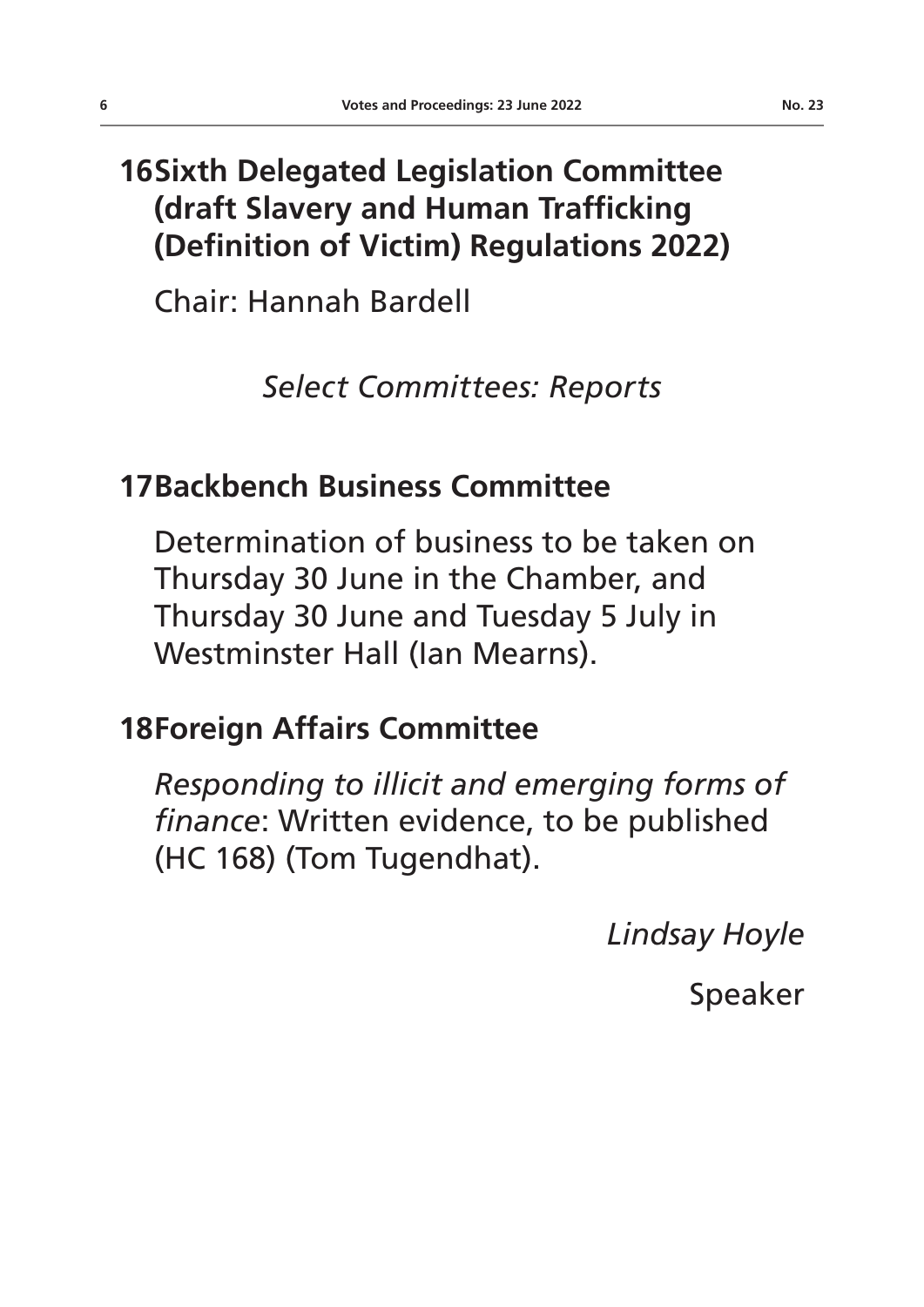## **16Sixth Delegated Legislation Committee (draft Slavery and Human Trafficking (Definition of Victim) Regulations 2022)**

Chair: Hannah Bardell

*Select Committees: Reports*

# **17Backbench Business Committee**

Determination of business to be taken on Thursday 30 June in the Chamber, and Thursday 30 June and Tuesday 5 July in Westminster Hall (Ian Mearns).

# **18Foreign Affairs Committee**

*Responding to illicit and emerging forms of finance*: Written evidence, to be published (HC 168) (Tom Tugendhat).

*Lindsay Hoyle*

Speaker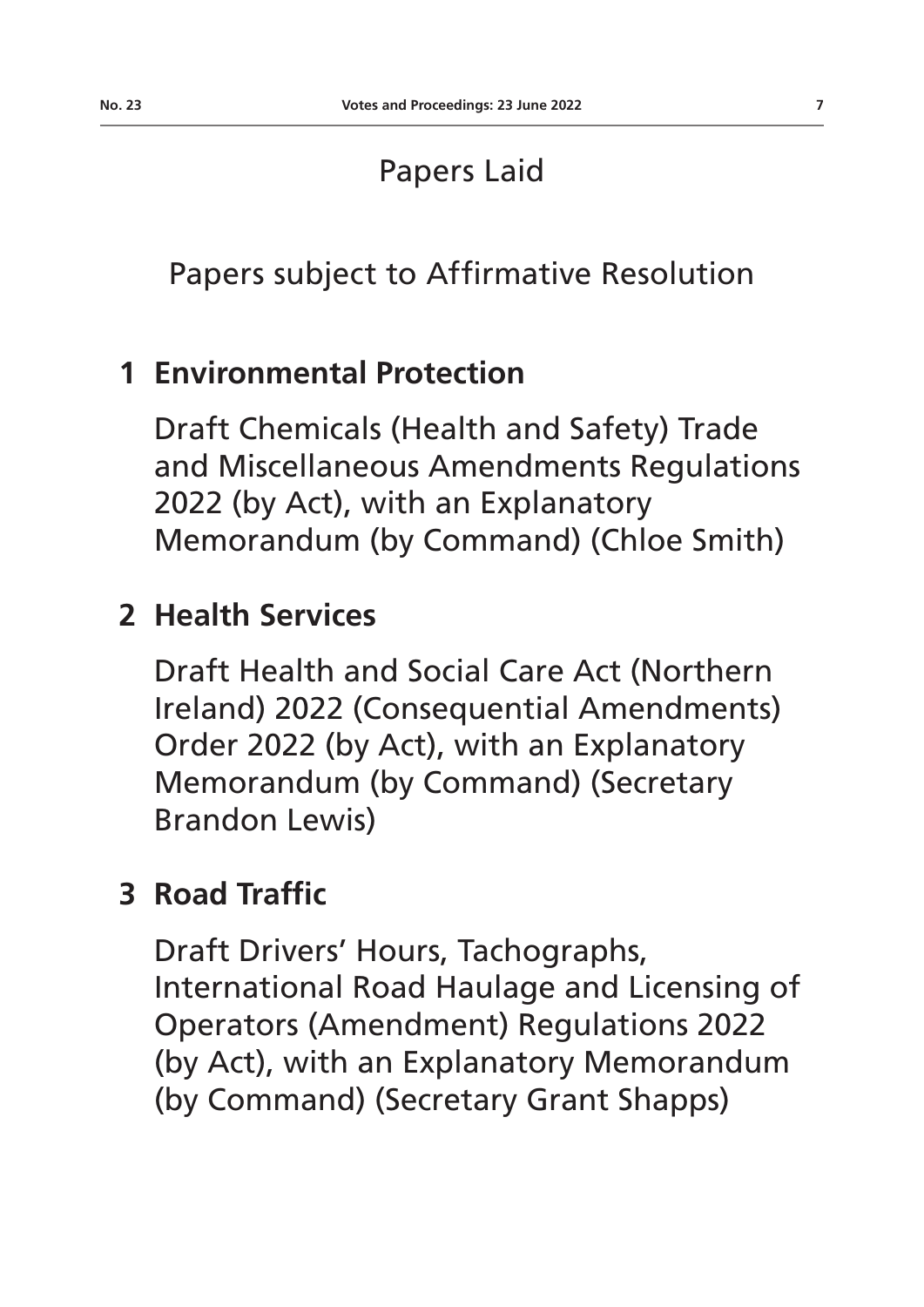#### Papers Laid

Papers subject to Affirmative Resolution

#### **1 Environmental Protection**

Draft Chemicals (Health and Safety) Trade and Miscellaneous Amendments Regulations 2022 (by Act), with an Explanatory Memorandum (by Command) (Chloe Smith)

#### **2 Health Services**

Draft Health and Social Care Act (Northern Ireland) 2022 (Consequential Amendments) Order 2022 (by Act), with an Explanatory Memorandum (by Command) (Secretary Brandon Lewis)

#### **3 Road Traffic**

Draft Drivers' Hours, Tachographs, International Road Haulage and Licensing of Operators (Amendment) Regulations 2022 (by Act), with an Explanatory Memorandum (by Command) (Secretary Grant Shapps)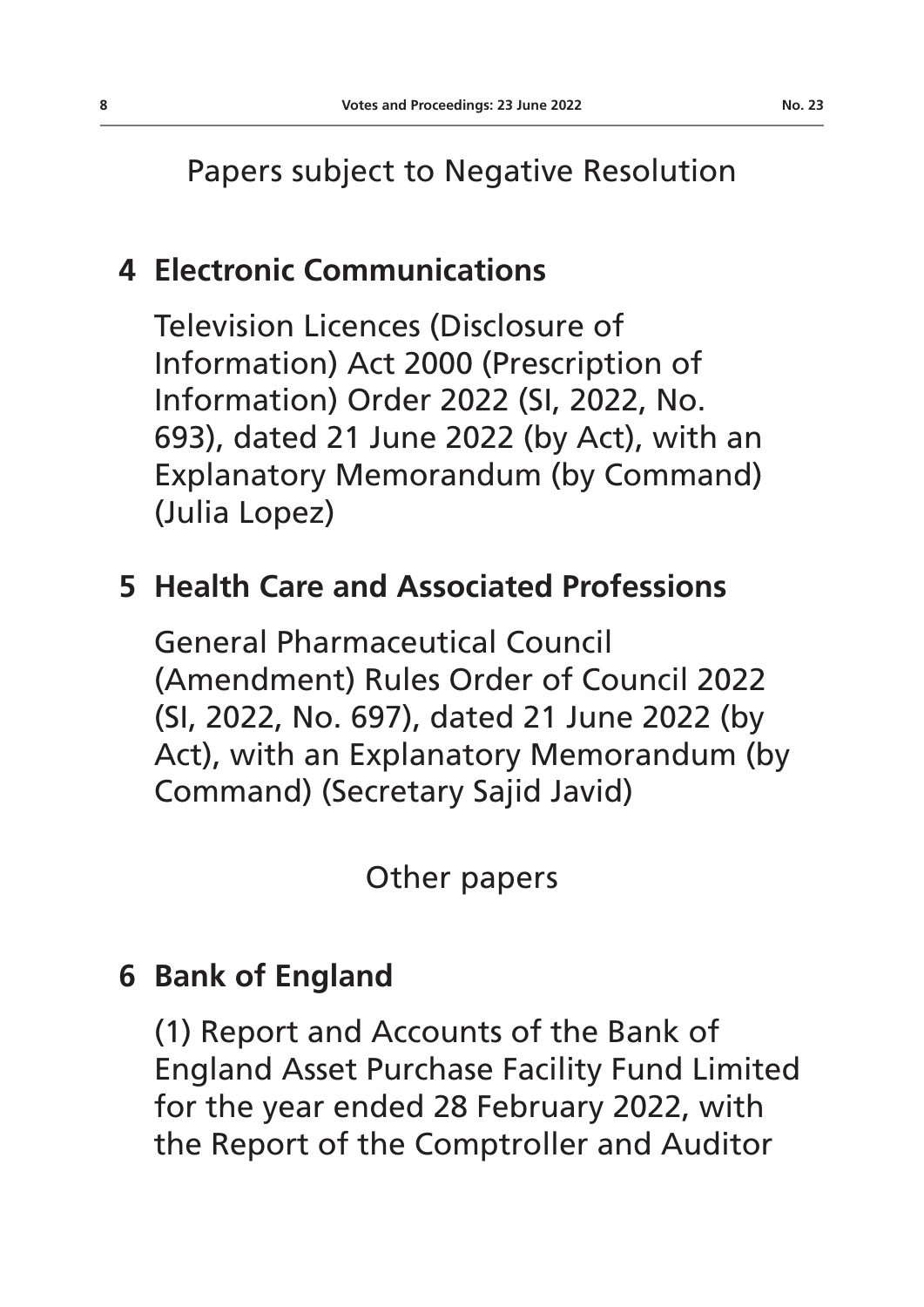#### Papers subject to Negative Resolution

# **4 Electronic Communications**

Television Licences (Disclosure of Information) Act 2000 (Prescription of Information) Order 2022 (SI, 2022, No. 693), dated 21 June 2022 (by Act), with an Explanatory Memorandum (by Command) (Julia Lopez)

#### **5 Health Care and Associated Professions**

General Pharmaceutical Council (Amendment) Rules Order of Council 2022 (SI, 2022, No. 697), dated 21 June 2022 (by Act), with an Explanatory Memorandum (by Command) (Secretary Sajid Javid)

Other papers

# **6 Bank of England**

(1) Report and Accounts of the Bank of England Asset Purchase Facility Fund Limited for the year ended 28 February 2022, with the Report of the Comptroller and Auditor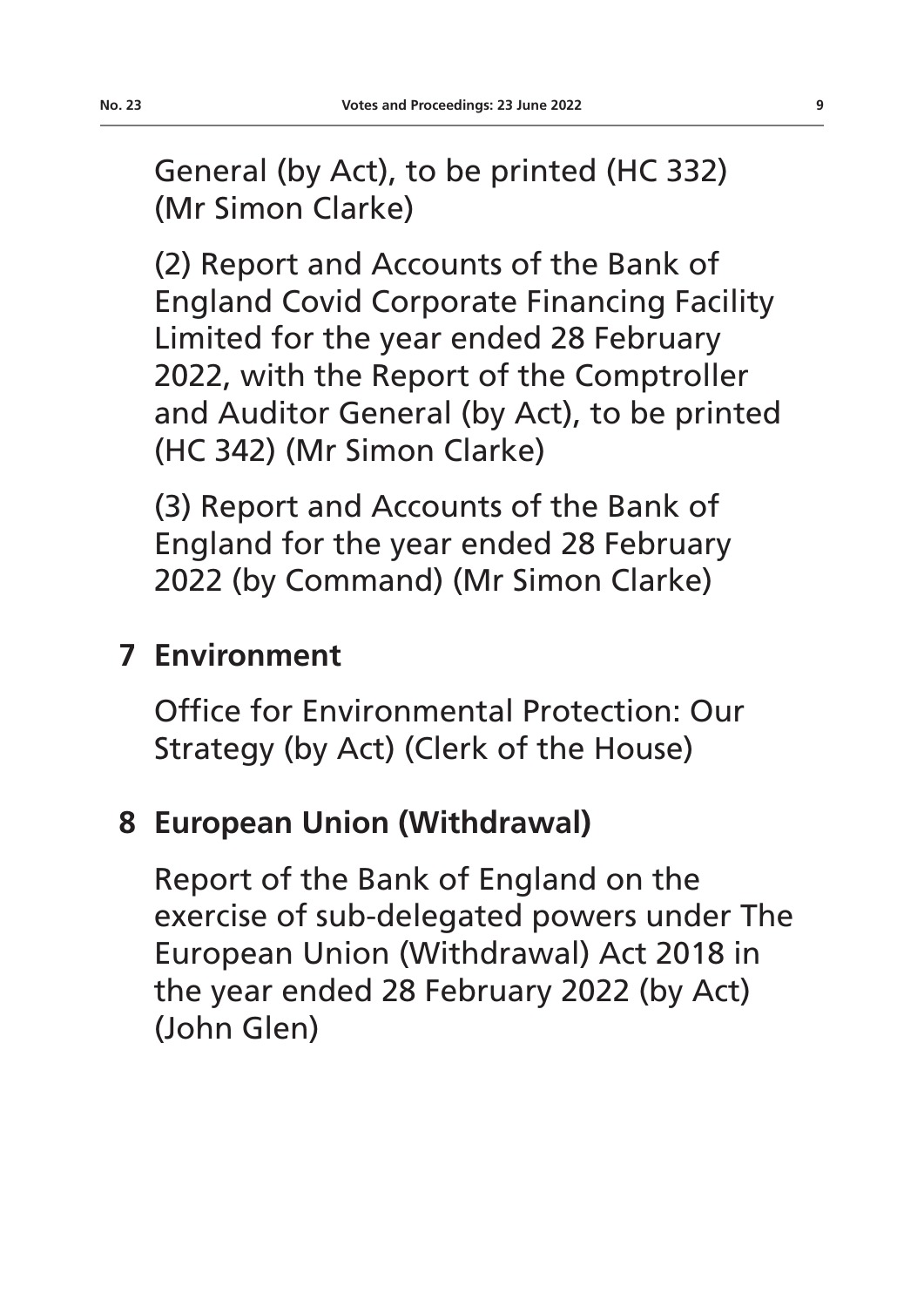General (by Act), to be printed (HC 332) (Mr Simon Clarke)

(2) Report and Accounts of the Bank of England Covid Corporate Financing Facility Limited for the year ended 28 February 2022, with the Report of the Comptroller and Auditor General (by Act), to be printed (HC 342) (Mr Simon Clarke)

(3) Report and Accounts of the Bank of England for the year ended 28 February 2022 (by Command) (Mr Simon Clarke)

# **7 Environment**

Office for Environmental Protection: Our Strategy (by Act) (Clerk of the House)

# **8 European Union (Withdrawal)**

Report of the Bank of England on the exercise of sub-delegated powers under The European Union (Withdrawal) Act 2018 in the year ended 28 February 2022 (by Act) (John Glen)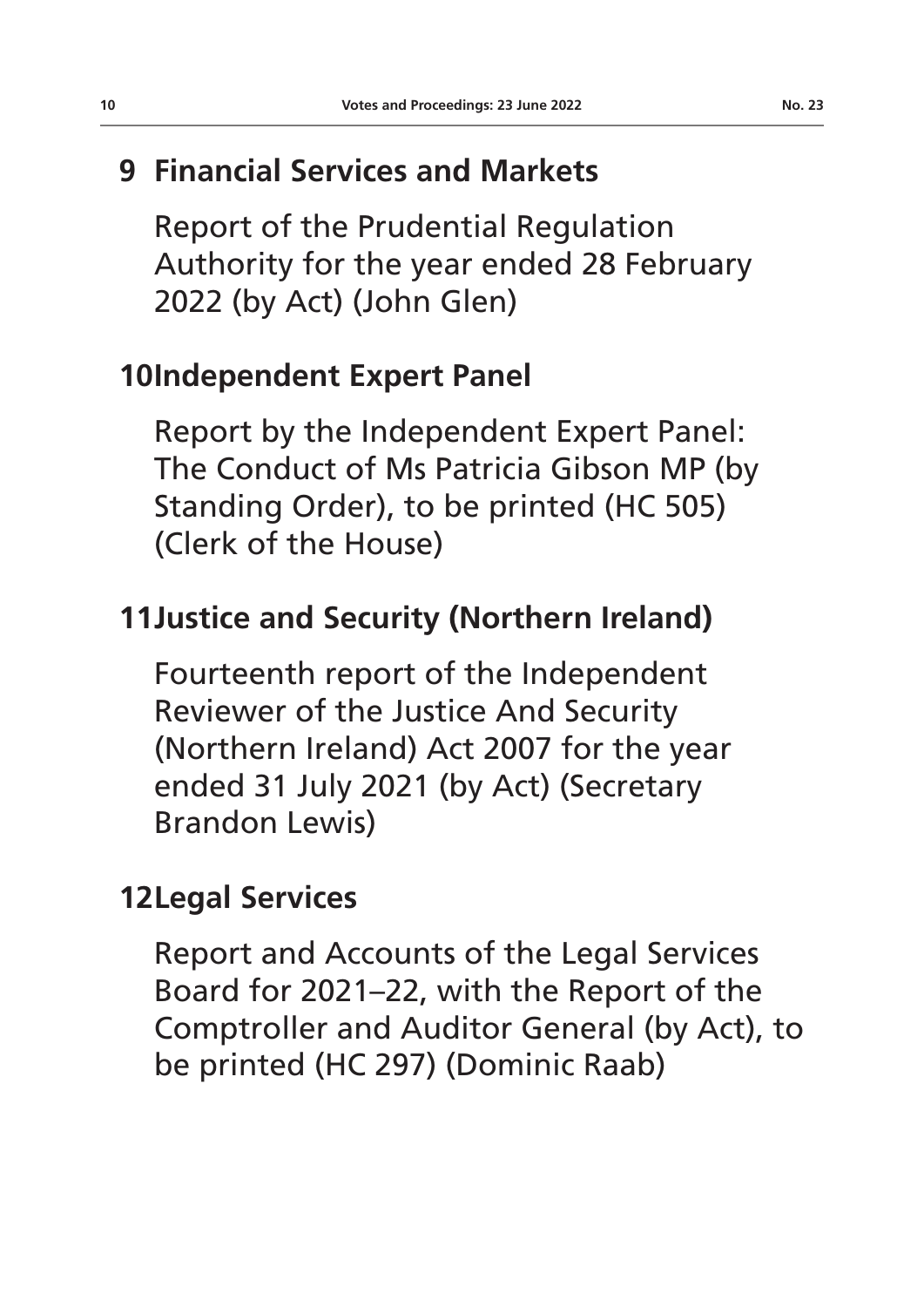## **9 Financial Services and Markets**

Report of the Prudential Regulation Authority for the year ended 28 February 2022 (by Act) (John Glen)

#### **10Independent Expert Panel**

Report by the Independent Expert Panel: The Conduct of Ms Patricia Gibson MP (by Standing Order), to be printed (HC 505) (Clerk of the House)

## **11Justice and Security (Northern Ireland)**

Fourteenth report of the Independent Reviewer of the Justice And Security (Northern Ireland) Act 2007 for the year ended 31 July 2021 (by Act) (Secretary Brandon Lewis)

#### **12Legal Services**

Report and Accounts of the Legal Services Board for 2021–22, with the Report of the Comptroller and Auditor General (by Act), to be printed (HC 297) (Dominic Raab)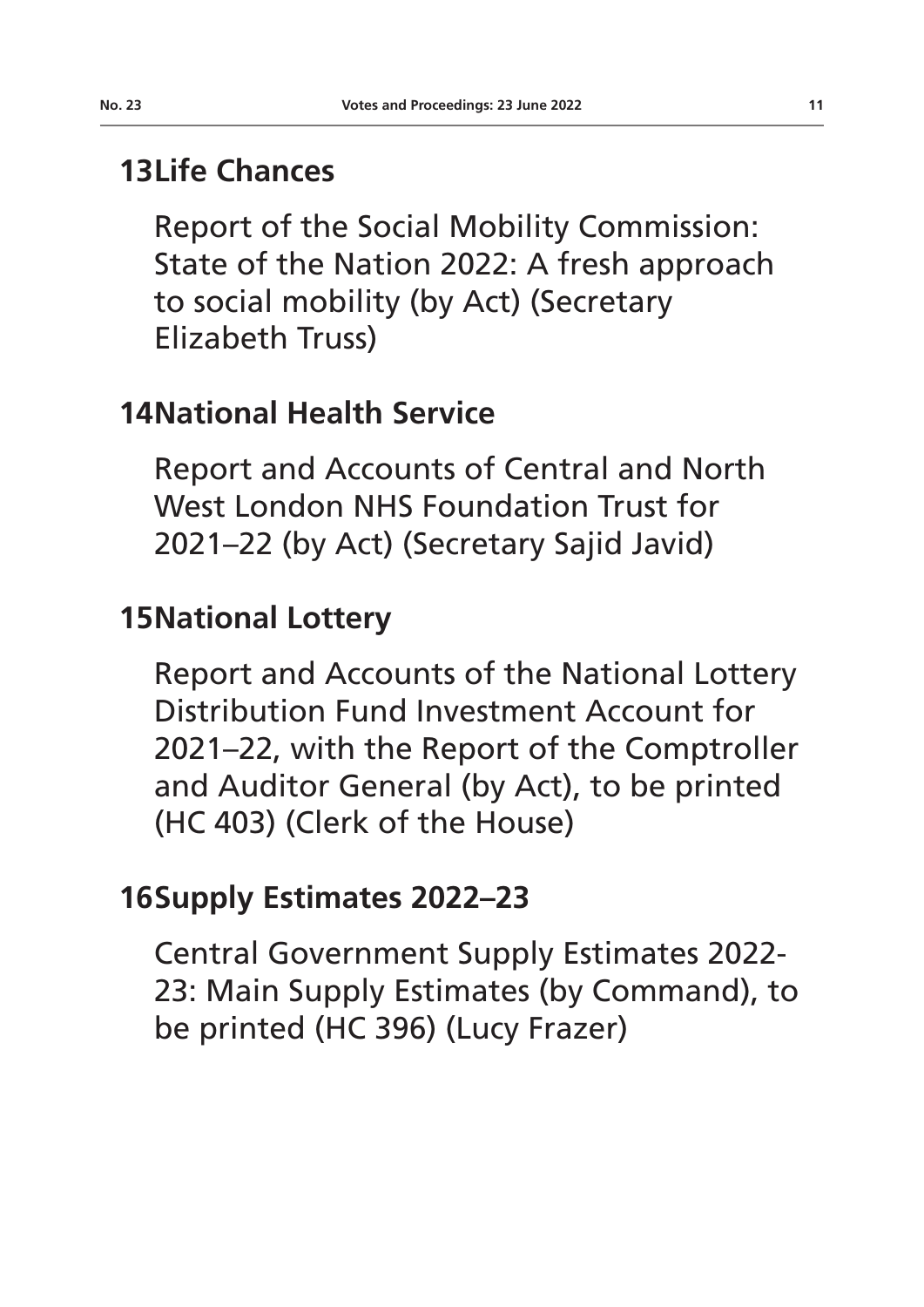# **13Life Chances**

Report of the Social Mobility Commission: State of the Nation 2022: A fresh approach to social mobility (by Act) (Secretary Elizabeth Truss)

# **14National Health Service**

Report and Accounts of Central and North West London NHS Foundation Trust for 2021–22 (by Act) (Secretary Sajid Javid)

# **15National Lottery**

Report and Accounts of the National Lottery Distribution Fund Investment Account for 2021–22, with the Report of the Comptroller and Auditor General (by Act), to be printed (HC 403) (Clerk of the House)

# **16Supply Estimates 2022–23**

Central Government Supply Estimates 2022- 23: Main Supply Estimates (by Command), to be printed (HC 396) (Lucy Frazer)